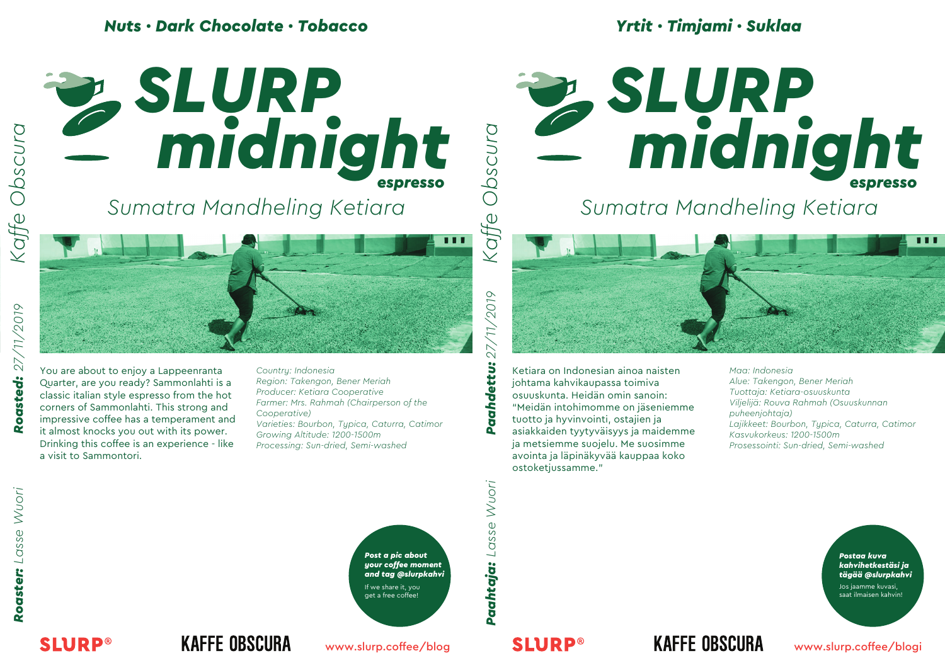#### *Nuts · Dark Chocolate · Tobacco*





*midnight espresso espresso*

*Sumatra Mandheling Ketiara*

You are about to enjoy a Lappeenranta Quarter, are you ready? Sammonlahti is a classic italian style espresso from the hot corners of Sammonlahti. This strong and impressive coffee has a temperament and it almost knocks you out with its power. Drinking this coffee is an experience - like a visit to Sammontori.

*Country: Indonesia Region: Takengon, Bener Meriah Producer: Ketiara Cooperative Farmer: Mrs. Rahmah (Chairperson of the Cooperative) Varieties: Bourbon, Typica, Caturra, Catimor Growing Altitude: 1200-1500m Processing: Sun-dried, Semi-washed*

 $6107$ *Paahtaja: Lasse Wuori Paahdettu: 27/11/2019*  $\sqrt{7}$  $\sum$ Paahdettu:

*Kaffe Obscura*

Kaffe

Ketiara on Indonesian ainoa naisten johtama kahvikaupassa toimiva osuuskunta. Heidän omin sanoin: "Meidän intohimomme on jäseniemme tuotto ja hyvinvointi, ostajien ja asiakkaiden tyytyväisyys ja maidemme ja metsiemme suojelu. Me suosimme avointa ja läpinäkyvää kauppaa koko ostoketjussamme."

*Maa: Indonesia Alue: Takengon, Bener Meriah Tuottaja: Ketiara-osuuskunta Viljelijä: Rouva Rahmah (Osuuskunnan puheenjohtaja) Lajikkeet: Bourbon, Typica, Caturra, Catimor Kasvukorkeus: 1200-1500m Prosessointi: Sun-dried, Semi-washed*

**SLURP®** 



Paahtaja: Lasse Wuori

*Postaa kuva kahvihetkestäsi ja tägää @slurpkahvi*

Jos jaamme kuvasi, saat ilmaisen kahvin!

**KAFFE OBSCURA** 

www.slurp.coffee/blog

#### **SLURP®**

**KAFFE OBSCURA**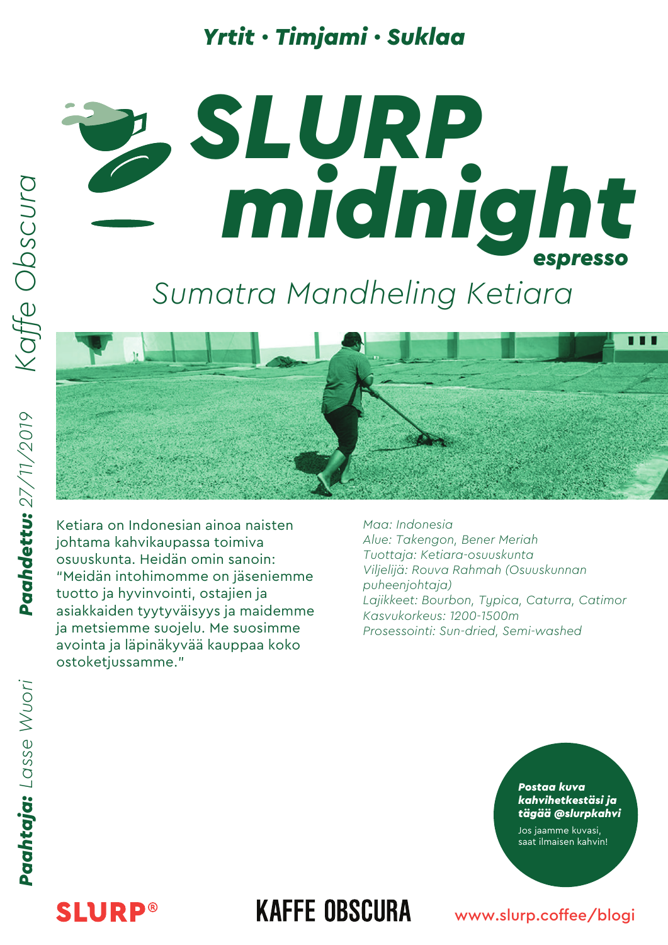#### *Yrtit · Timjami · Suklaa*

# *midnight midnight SLURP espresso*

# *Sumatra Mandheling Ketiara*



Ketiara on Indonesian ainoa naisten johtama kahvikaupassa toimiva osuuskunta. Heidän omin sanoin: "Meidän intohimomme on jäseniemme tuotto ja hyvinvointi, ostajien ja asiakkaiden tyytyväisyys ja maidemme ja metsiemme suojelu. Me suosimme avointa ja läpinäkyvää kauppaa koko ostoketjussamme."

*Maa: Indonesia Alue: Takengon, Bener Meriah Tuottaja: Ketiara-osuuskunta Viljelijä: Rouva Rahmah (Osuuskunnan puheenjohtaja) Lajikkeet: Bourbon, Typica, Caturra, Catimor Kasvukorkeus: 1200-1500m Prosessointi: Sun-dried, Semi-washed*

#### *Postaa kuva kahvihetkestäsi ja tägää @slurpkahvi*

Jos jaamme kuvasi, saat ilmaisen kahvin!

# **SLURP®**

### **KAFFE OBSCURA**

#### www.slurp.coffee/blogi